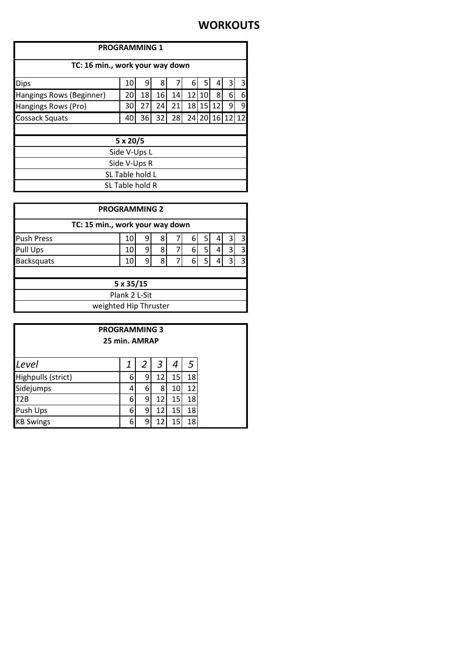### **WORKOUTS**

| <b>PROGRAMMING 1</b>             |    |    |    |    |    |    |    |          |   |
|----------------------------------|----|----|----|----|----|----|----|----------|---|
| TC: 16 min., work your way down  |    |    |    |    |    |    |    |          |   |
| 8<br><b>Dips</b><br>10<br>9<br>6 |    |    |    |    |    |    | 3  |          |   |
| Hangings Rows (Beginner)         | 20 | 18 | 16 | 14 | 12 | 10 | 8  | 6        | 6 |
| Hangings Rows (Pro)              | 30 | 27 | 24 | 21 | 18 | 15 | 12 | 9        | 9 |
| <b>Cossack Squats</b>            | 40 | 36 | 32 | 28 | 24 | 20 |    | 16 12 12 |   |
|                                  |    |    |    |    |    |    |    |          |   |
| $5 \times 20/5$                  |    |    |    |    |    |    |    |          |   |
| Side V-Ups L                     |    |    |    |    |    |    |    |          |   |
| Side V-Ups R                     |    |    |    |    |    |    |    |          |   |
| SL Table hold L                  |    |    |    |    |    |    |    |          |   |
| SL Table hold R                  |    |    |    |    |    |    |    |          |   |

| <b>PROGRAMMING 2</b>            |    |   |   |  |   |   |  |   |   |
|---------------------------------|----|---|---|--|---|---|--|---|---|
| TC: 15 min., work your way down |    |   |   |  |   |   |  |   |   |
| <b>Push Press</b>               | 10 | 9 | 8 |  | 6 | 5 |  |   | 3 |
| Pull Ups                        | 10 | 9 | 8 |  | 6 | 5 |  | 3 | 3 |
| Backsquats                      | 10 | q | 8 |  | 6 | 5 |  |   | 3 |
|                                 |    |   |   |  |   |   |  |   |   |
| 5 x 35/15                       |    |   |   |  |   |   |  |   |   |
| Plank 2 L-Sit                   |    |   |   |  |   |   |  |   |   |
| weighted Hip Thruster           |    |   |   |  |   |   |  |   |   |

| <b>PROGRAMMING 3</b><br>25 min. AMRAP |   |   |    |                 |    |
|---------------------------------------|---|---|----|-----------------|----|
| Level                                 | 1 |   | 3  |                 | 5  |
| Highpulls (strict)                    | 6 | 9 | 12 | 15 <sub>l</sub> | 18 |
| Sidejumps                             |   | 6 | 8  | 10              | 12 |
| T <sub>2B</sub>                       | 6 | 9 | 12 | 15              | 18 |
| Push Ups                              | 6 | 9 | 12 | 15              | 18 |
| <b>KB Swings</b>                      | 6 | 9 | 12 | 15              | 18 |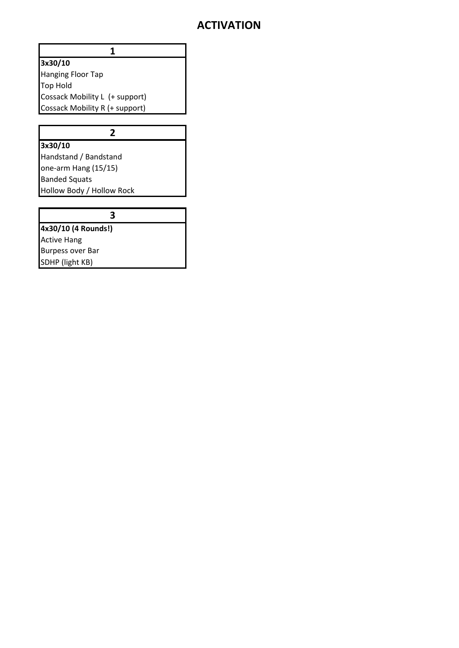### **ACTIVATION**

#### **3x30/10**

Hanging Floor Tap Top Hold Cossack Mobility L (+ support) Cossack Mobility R (+ support)

**1**

**2**

# **3x30/10**

Handstand / Bandstand one-arm Hang (15/15) Banded Squats Hollow Body / Hollow Rock

### **3**

**4x30/10 (4 Rounds!)** Active Hang Burpess over Bar SDHP (light KB)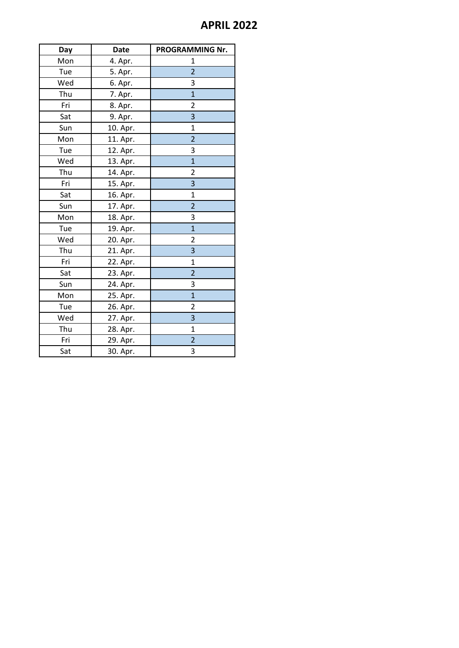### **APRIL 2022**

| Day | <b>Date</b> | PROGRAMMING Nr.         |
|-----|-------------|-------------------------|
| Mon | 4. Apr.     | 1                       |
| Tue | 5. Apr.     | $\overline{2}$          |
| Wed | 6. Apr.     | 3                       |
| Thu | 7. Apr.     | $\overline{1}$          |
| Fri | 8. Apr.     | $\overline{2}$          |
| Sat | 9. Apr.     | 3                       |
| Sun | 10. Apr.    | 1                       |
| Mon | 11. Apr.    | $\overline{2}$          |
| Tue | 12. Apr.    | 3                       |
| Wed | 13. Apr.    | $\overline{1}$          |
| Thu | 14. Apr.    | $\overline{\mathbf{c}}$ |
| Fri | 15. Apr.    | $\overline{\mathbf{3}}$ |
| Sat | 16. Apr.    | $\overline{1}$          |
| Sun | 17. Apr.    | $\overline{2}$          |
| Mon | 18. Apr.    | 3                       |
| Tue | 19. Apr.    | $\overline{1}$          |
| Wed | 20. Apr.    | $\overline{2}$          |
| Thu | 21. Apr.    | 3                       |
| Fri | 22. Apr.    | 1                       |
| Sat | 23. Apr.    | $\overline{2}$          |
| Sun | 24. Apr.    | 3                       |
| Mon | 25. Apr.    | $\overline{1}$          |
| Tue | 26. Apr.    | $\overline{\mathbf{c}}$ |
| Wed | 27. Apr.    | $\overline{\mathbf{3}}$ |
| Thu | 28. Apr.    | 1                       |
| Fri | 29. Apr.    | $\overline{2}$          |
| Sat | 30. Apr.    | 3                       |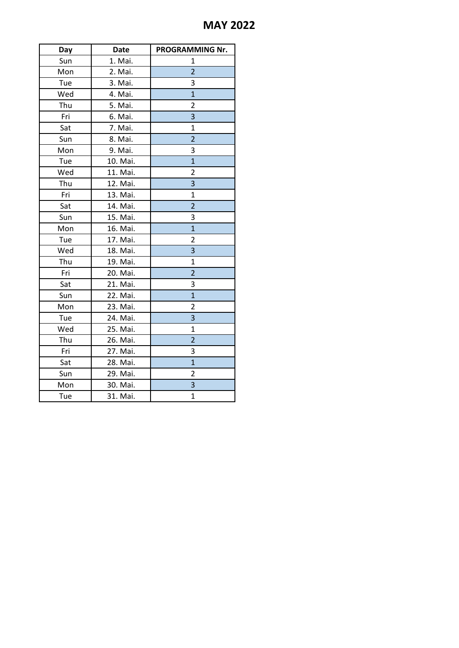## **MAY 2022**

| Day | <b>Date</b> | PROGRAMMING Nr. |
|-----|-------------|-----------------|
| Sun | 1. Mai.     | $\mathbf{1}$    |
| Mon | 2. Mai.     | $\overline{2}$  |
| Tue | 3. Mai.     | 3               |
| Wed | 4. Mai.     | $\overline{1}$  |
| Thu | 5. Mai.     | 2               |
| Fri | 6. Mai.     | 3               |
| Sat | 7. Mai.     | $\mathbf{1}$    |
| Sun | 8. Mai.     | $\overline{2}$  |
| Mon | 9. Mai.     | 3               |
| Tue | 10. Mai.    | $\overline{1}$  |
| Wed | 11. Mai.    | $\overline{2}$  |
| Thu | 12. Mai.    | 3               |
| Fri | 13. Mai.    | $\mathbf{1}$    |
| Sat | 14. Mai.    | $\overline{2}$  |
| Sun | 15. Mai.    | 3               |
| Mon | 16. Mai.    | $\overline{1}$  |
| Tue | 17. Mai.    | $\overline{2}$  |
| Wed | 18. Mai.    | 3               |
| Thu | 19. Mai.    | $\mathbf{1}$    |
| Fri | 20. Mai.    | $\overline{2}$  |
| Sat | 21. Mai.    | 3               |
| Sun | 22. Mai.    | $\mathbf{1}$    |
| Mon | 23. Mai.    | 2               |
| Tue | 24. Mai.    | 3               |
| Wed | 25. Mai.    | $\mathbf{1}$    |
| Thu | 26. Mai.    | $\overline{2}$  |
| Fri | 27. Mai.    | 3               |
| Sat | 28. Mai.    | $\overline{1}$  |
| Sun | 29. Mai.    | 2               |
| Mon | 30. Mai.    | 3               |
| Tue | 31. Mai.    | $\overline{1}$  |